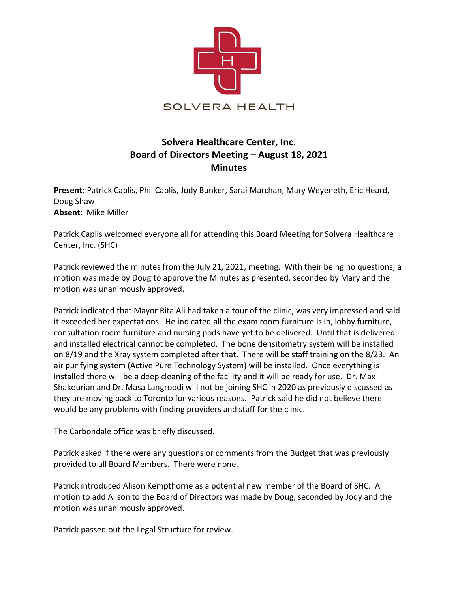

# **Solvera Healthcare Center, Inc. Board of Directors Meeting – August 18, 2021 Minutes**

**Present**: Patrick Caplis, Phil Caplis, Jody Bunker, Sarai Marchan, Mary Weyeneth, Eric Heard, Doug Shaw **Absent**: Mike Miller

Patrick Caplis welcomed everyone all for attending this Board Meeting for Solvera Healthcare Center, Inc. (SHC)

Patrick reviewed the minutes from the July 21, 2021, meeting. With their being no questions, a motion was made by Doug to approve the Minutes as presented, seconded by Mary and the motion was unanimously approved.

Patrick indicated that Mayor Rita Ali had taken a tour of the clinic, was very impressed and said it exceeded her expectations. He indicated all the exam room furniture is in, lobby furniture, consultation room furniture and nursing pods have yet to be delivered. Until that is delivered and installed electrical cannot be completed. The bone densitometry system will be installed on 8/19 and the Xray system completed after that. There will be staff training on the 8/23. An air purifying system (Active Pure Technology System) will be installed. Once everything is installed there will be a deep cleaning of the facility and it will be ready for use. Dr. Max Shakourian and Dr. Masa Langroodi will not be joining SHC in 2020 as previously discussed as they are moving back to Toronto for various reasons. Patrick said he did not believe there would be any problems with finding providers and staff for the clinic.

The Carbondale office was briefly discussed.

Patrick asked if there were any questions or comments from the Budget that was previously provided to all Board Members. There were none.

Patrick introduced Alison Kempthorne as a potential new member of the Board of SHC. A motion to add Alison to the Board of Directors was made by Doug, seconded by Jody and the motion was unanimously approved.

Patrick passed out the Legal Structure for review.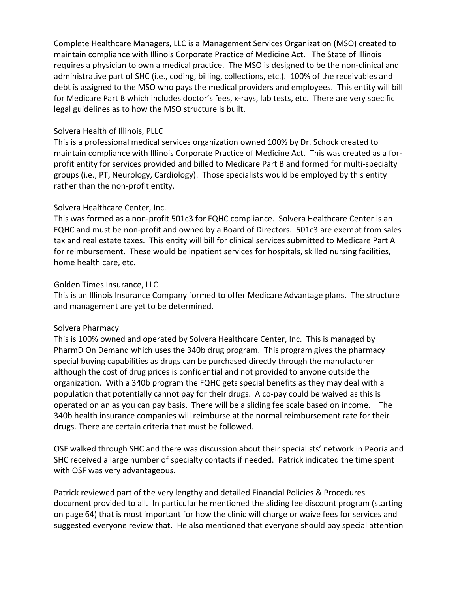Complete Healthcare Managers, LLC is a Management Services Organization (MSO) created to maintain compliance with Illinois Corporate Practice of Medicine Act. The State of Illinois requires a physician to own a medical practice. The MSO is designed to be the non-clinical and administrative part of SHC (i.e., coding, billing, collections, etc.). 100% of the receivables and debt is assigned to the MSO who pays the medical providers and employees. This entity will bill for Medicare Part B which includes doctor's fees, x-rays, lab tests, etc. There are very specific legal guidelines as to how the MSO structure is built.

### Solvera Health of Illinois, PLLC

This is a professional medical services organization owned 100% by Dr. Schock created to maintain compliance with Illinois Corporate Practice of Medicine Act. This was created as a forprofit entity for services provided and billed to Medicare Part B and formed for multi-specialty groups (i.e., PT, Neurology, Cardiology). Those specialists would be employed by this entity rather than the non-profit entity.

## Solvera Healthcare Center, Inc.

This was formed as a non-profit 501c3 for FQHC compliance. Solvera Healthcare Center is an FQHC and must be non-profit and owned by a Board of Directors. 501c3 are exempt from sales tax and real estate taxes. This entity will bill for clinical services submitted to Medicare Part A for reimbursement. These would be inpatient services for hospitals, skilled nursing facilities, home health care, etc.

## Golden Times Insurance, LLC

This is an Illinois Insurance Company formed to offer Medicare Advantage plans. The structure and management are yet to be determined.

#### Solvera Pharmacy

This is 100% owned and operated by Solvera Healthcare Center, Inc. This is managed by PharmD On Demand which uses the 340b drug program. This program gives the pharmacy special buying capabilities as drugs can be purchased directly through the manufacturer although the cost of drug prices is confidential and not provided to anyone outside the organization. With a 340b program the FQHC gets special benefits as they may deal with a population that potentially cannot pay for their drugs. A co-pay could be waived as this is operated on an as you can pay basis. There will be a sliding fee scale based on income. The 340b health insurance companies will reimburse at the normal reimbursement rate for their drugs. There are certain criteria that must be followed.

OSF walked through SHC and there was discussion about their specialists' network in Peoria and SHC received a large number of specialty contacts if needed. Patrick indicated the time spent with OSF was very advantageous.

Patrick reviewed part of the very lengthy and detailed Financial Policies & Procedures document provided to all. In particular he mentioned the sliding fee discount program (starting on page 64) that is most important for how the clinic will charge or waive fees for services and suggested everyone review that. He also mentioned that everyone should pay special attention